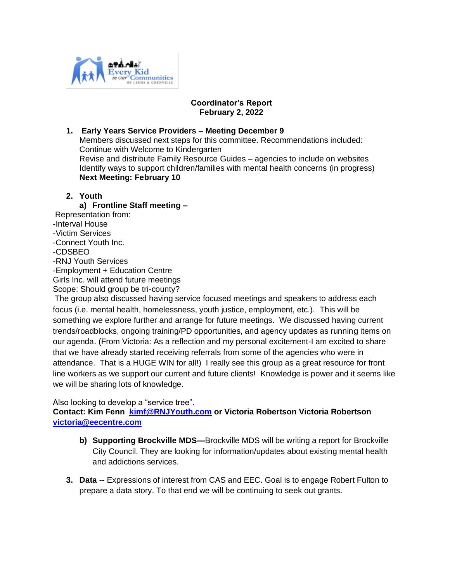

# **Coordinator's Report February 2, 2022**

# **1. Early Years Service Providers – Meeting December 9**  Members discussed next steps for this committee. Recommendations included: Continue with Welcome to Kindergarten Revise and distribute Family Resource Guides – agencies to include on websites Identify ways to support children/families with mental health concerns (in progress) **Next Meeting: February 10**

# **2. Youth**

**a) Frontline Staff meeting –** Representation from: -Interval House -Victim Services -Connect Youth Inc. -CDSBEO -RNJ Youth Services -Employment + Education Centre Girls Inc. will attend future meetings Scope: Should group be tri-county? The group also discussed having service focused meetings and speakers to address each

focus (i.e. mental health, homelessness, youth justice, employment, etc.). This will be something we explore further and arrange for future meetings. We discussed having current trends/roadblocks, ongoing training/PD opportunities, and agency updates as running items on our agenda. (From Victoria: As a reflection and my personal excitement-I am excited to share that we have already started receiving referrals from some of the agencies who were in attendance. That is a HUGE WIN for all!) I really see this group as a great resource for front line workers as we support our current and future clients! Knowledge is power and it seems like we will be sharing lots of knowledge.

## Also looking to develop a "service tree".

**Contact: Kim Fenn [kimf@RNJYouth.com](mailto:kimf@RNJYouth.com) or Victoria Robertson Victoria Robertson [victoria@eecentre.com](mailto:victoria@eecentre.com)**

- **b) Supporting Brockville MDS—**Brockville MDS will be writing a report for Brockville City Council. They are looking for information/updates about existing mental health and addictions services.
- **3. Data --** Expressions of interest from CAS and EEC. Goal is to engage Robert Fulton to prepare a data story. To that end we will be continuing to seek out grants.